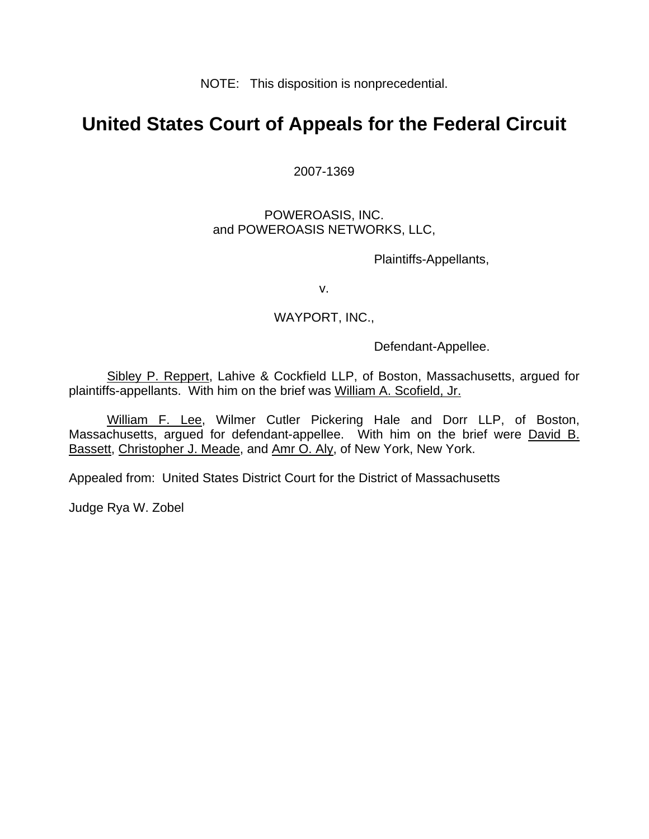NOTE: This disposition is nonprecedential.

## **United States Court of Appeals for the Federal Circuit**

2007-1369

POWEROASIS, INC. and POWEROASIS NETWORKS, LLC,

Plaintiffs-Appellants,

v.

## WAYPORT, INC.,

Defendant-Appellee.

 Sibley P. Reppert, Lahive & Cockfield LLP, of Boston, Massachusetts, argued for plaintiffs-appellants. With him on the brief was William A. Scofield, Jr.

William F. Lee, Wilmer Cutler Pickering Hale and Dorr LLP, of Boston, Massachusetts, argued for defendant-appellee. With him on the brief were David B. Bassett, Christopher J. Meade, and Amr O. Aly, of New York, New York.

Appealed from: United States District Court for the District of Massachusetts

Judge Rya W. Zobel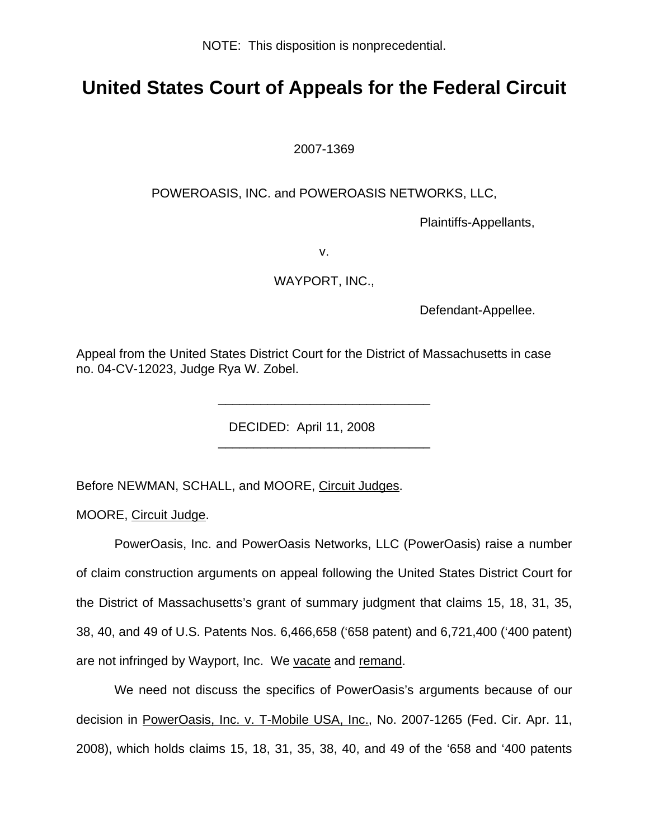NOTE: This disposition is nonprecedential.

## **United States Court of Appeals for the Federal Circuit**

2007-1369

## POWEROASIS, INC. and POWEROASIS NETWORKS, LLC,

Plaintiffs-Appellants,

v.

WAYPORT, INC.,

Defendant-Appellee.

Appeal from the United States District Court for the District of Massachusetts in case no. 04-CV-12023, Judge Rya W. Zobel.

\_\_\_\_\_\_\_\_\_\_\_\_\_\_\_\_\_\_\_\_\_\_\_\_\_\_\_\_\_\_

\_\_\_\_\_\_\_\_\_\_\_\_\_\_\_\_\_\_\_\_\_\_\_\_\_\_\_\_\_\_

DECIDED: April 11, 2008

Before NEWMAN, SCHALL, and MOORE, Circuit Judges.

MOORE, Circuit Judge.

PowerOasis, Inc. and PowerOasis Networks, LLC (PowerOasis) raise a number of claim construction arguments on appeal following the United States District Court for the District of Massachusetts's grant of summary judgment that claims 15, 18, 31, 35, 38, 40, and 49 of U.S. Patents Nos. 6,466,658 ('658 patent) and 6,721,400 ('400 patent) are not infringed by Wayport, Inc. We vacate and remand.

We need not discuss the specifics of PowerOasis's arguments because of our decision in PowerOasis, Inc. v. T-Mobile USA, Inc., No. 2007-1265 (Fed. Cir. Apr. 11, 2008), which holds claims 15, 18, 31, 35, 38, 40, and 49 of the '658 and '400 patents